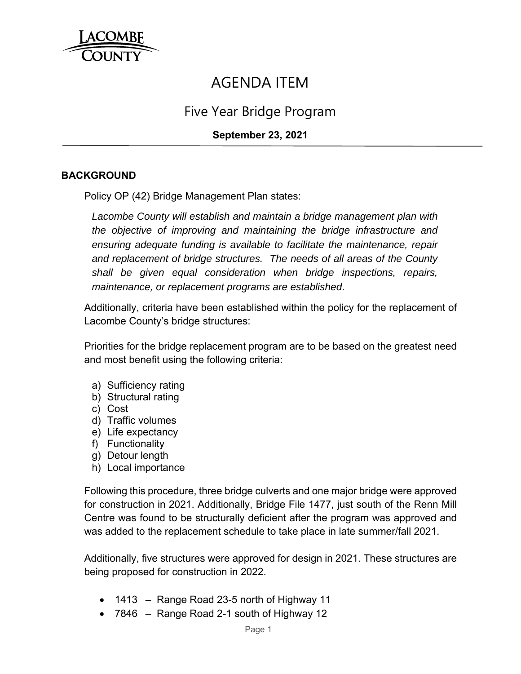

# AGENDA ITEM

# Five Year Bridge Program

# **September 23, 2021**

# **BACKGROUND**

Policy OP (42) Bridge Management Plan states:

*Lacombe County will establish and maintain a bridge management plan with the objective of improving and maintaining the bridge infrastructure and ensuring adequate funding is available to facilitate the maintenance, repair and replacement of bridge structures. The needs of all areas of the County shall be given equal consideration when bridge inspections, repairs, maintenance, or replacement programs are established*.

Additionally, criteria have been established within the policy for the replacement of Lacombe County's bridge structures:

Priorities for the bridge replacement program are to be based on the greatest need and most benefit using the following criteria:

- a) Sufficiency rating
- b) Structural rating
- c) Cost
- d) Traffic volumes
- e) Life expectancy
- f) Functionality
- g) Detour length
- h) Local importance

Following this procedure, three bridge culverts and one major bridge were approved for construction in 2021. Additionally, Bridge File 1477, just south of the Renn Mill Centre was found to be structurally deficient after the program was approved and was added to the replacement schedule to take place in late summer/fall 2021.

Additionally, five structures were approved for design in 2021. These structures are being proposed for construction in 2022.

- $\bullet$  1413 Range Road 23-5 north of Highway 11
- 7846 Range Road 2-1 south of Highway 12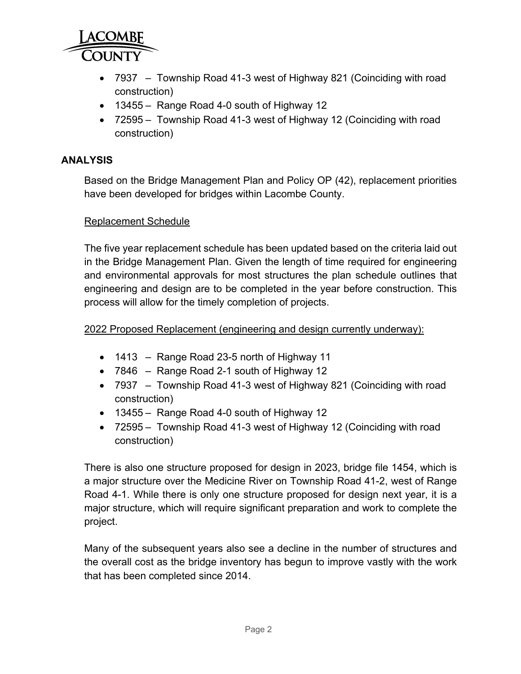

- 7937 Township Road 41-3 west of Highway 821 (Coinciding with road construction)
- 13455 Range Road 4-0 south of Highway 12
- 72595 Township Road 41-3 west of Highway 12 (Coinciding with road construction)

#### **ANALYSIS**

Based on the Bridge Management Plan and Policy OP (42), replacement priorities have been developed for bridges within Lacombe County.

#### Replacement Schedule

The five year replacement schedule has been updated based on the criteria laid out in the Bridge Management Plan. Given the length of time required for engineering and environmental approvals for most structures the plan schedule outlines that engineering and design are to be completed in the year before construction. This process will allow for the timely completion of projects.

#### 2022 Proposed Replacement (engineering and design currently underway):

- 1413 Range Road 23-5 north of Highway 11
- 7846 Range Road 2-1 south of Highway 12
- 7937 Township Road 41-3 west of Highway 821 (Coinciding with road construction)
- 13455 Range Road 4-0 south of Highway 12
- 72595 Township Road 41-3 west of Highway 12 (Coinciding with road construction)

There is also one structure proposed for design in 2023, bridge file 1454, which is a major structure over the Medicine River on Township Road 41-2, west of Range Road 4-1. While there is only one structure proposed for design next year, it is a major structure, which will require significant preparation and work to complete the project.

Many of the subsequent years also see a decline in the number of structures and the overall cost as the bridge inventory has begun to improve vastly with the work that has been completed since 2014.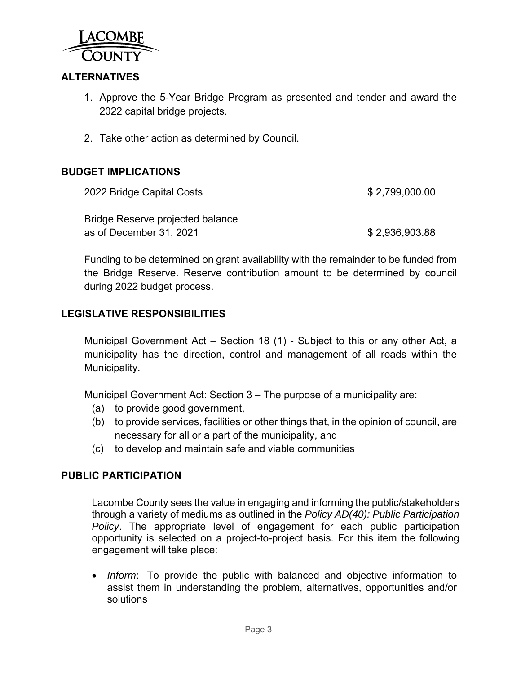

# **ALTERNATIVES**

- 1. Approve the 5-Year Bridge Program as presented and tender and award the 2022 capital bridge projects.
- 2. Take other action as determined by Council.

# **BUDGET IMPLICATIONS**

| 2022 Bridge Capital Costs        | \$2,799,000.00 |
|----------------------------------|----------------|
| Bridge Reserve projected balance |                |
| as of December 31, 2021          | \$2,936,903.88 |

Funding to be determined on grant availability with the remainder to be funded from the Bridge Reserve. Reserve contribution amount to be determined by council during 2022 budget process.

# **LEGISLATIVE RESPONSIBILITIES**

Municipal Government Act – Section 18 (1) - Subject to this or any other Act, a municipality has the direction, control and management of all roads within the Municipality.

Municipal Government Act: Section 3 – The purpose of a municipality are:

- (a) to provide good government,
- (b) to provide services, facilities or other things that, in the opinion of council, are necessary for all or a part of the municipality, and
- (c) to develop and maintain safe and viable communities

#### **PUBLIC PARTICIPATION**

Lacombe County sees the value in engaging and informing the public/stakeholders through a variety of mediums as outlined in the *Policy AD(40): Public Participation Policy*. The appropriate level of engagement for each public participation opportunity is selected on a project-to-project basis. For this item the following engagement will take place:

 *Inform*: To provide the public with balanced and objective information to assist them in understanding the problem, alternatives, opportunities and/or solutions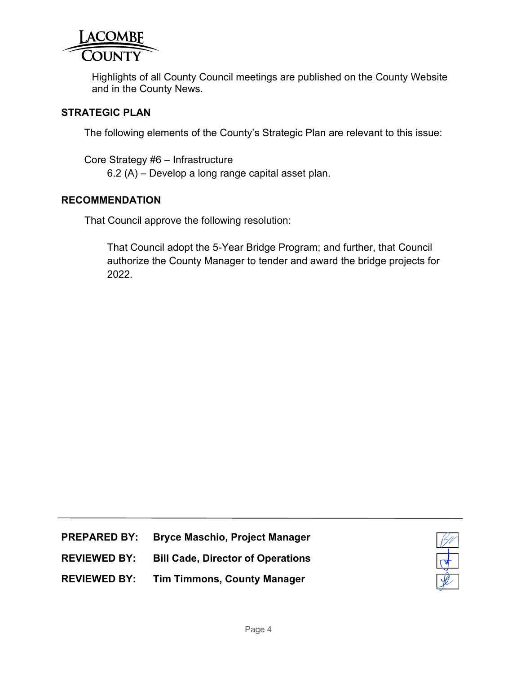

Highlights of all County Council meetings are published on the County Website and in the County News.

#### **STRATEGIC PLAN**

The following elements of the County's Strategic Plan are relevant to this issue:

Core Strategy #6 – Infrastructure 6.2 (A) – Develop a long range capital asset plan.

#### **RECOMMENDATION**

That Council approve the following resolution:

That Council adopt the 5-Year Bridge Program; and further, that Council authorize the County Manager to tender and award the bridge projects for 2022.

- **PREPARED BY: Bryce Maschio, Project Manager**
- **REVIEWED BY: Bill Cade, Director of Operations**



**REVIEWED BY: Tim Timmons, County Manager**